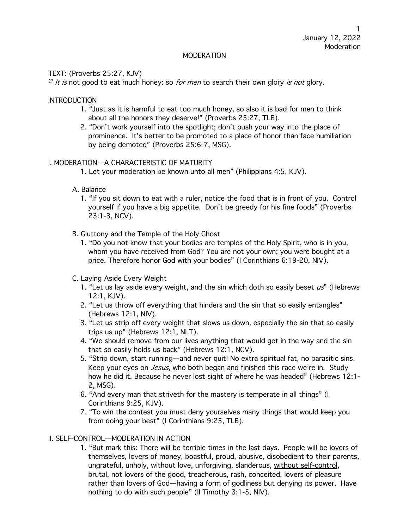## MODERATION

# TEXT: (Proverbs 25:27, KJV)

 $27$  It is not good to eat much honey: so *for men* to search their own glory is not glory.

**INTRODUCTION** 

- 1. "Just as it is harmful to eat too much honey, so also it is bad for men to think about all the honors they deserve!" (Proverbs 25:27, TLB).
- 2. "Don't work yourself into the spotlight; don't push your way into the place of prominence. It's better to be promoted to a place of honor than face humiliation by being demoted" (Proverbs 25:6-7, MSG).

## I. MODERATION—A CHARACTERISTIC OF MATURITY

- 1. Let your moderation be known unto all men" (Philippians 4:5, KJV).
- A. Balance
	- 1. "If you sit down to eat with a ruler, notice the food that is in front of you. Control yourself if you have a big appetite. Don't be greedy for his fine foods" (Proverbs 23:1-3, NCV).
- B. Gluttony and the Temple of the Holy Ghost
	- 1. "Do you not know that your bodies are temples of the Holy Spirit, who is in you, whom you have received from God? You are not your own; you were bought at a price. Therefore honor God with your bodies" (I Corinthians 6:19-20, NIV).
- C. Laying Aside Every Weight
	- 1. "Let us lay aside every weight, and the sin which doth so easily beset  $\mu s$ " (Hebrews 12:1, KJV).
	- 2. "Let us throw off everything that hinders and the sin that so easily entangles" (Hebrews 12:1, NIV).
	- 3. "Let us strip off every weight that slows us down, especially the sin that so easily trips us up" (Hebrews 12:1, NLT).
	- 4. "We should remove from our lives anything that would get in the way and the sin that so easily holds us back" (Hebrews 12:1, NCV).
	- 5. "Strip down, start running—and never quit! No extra spiritual fat, no parasitic sins. Keep your eyes on *Jesus*, who both began and finished this race we're in. Study how he did it. Because he never lost sight of where he was headed" (Hebrews 12:1- 2, MSG).
	- 6. "And every man that striveth for the mastery is temperate in all things" (I Corinthians 9:25, KJV).
	- 7. "To win the contest you must deny yourselves many things that would keep you from doing your best" (I Corinthians 9:25, TLB).

## II. SELF-CONTROL—MODERATION IN ACTION

1. "But mark this: There will be terrible times in the last days. People will be lovers of themselves, lovers of money, boastful, proud, abusive, disobedient to their parents, ungrateful, unholy, without love, unforgiving, slanderous, without self-control, brutal, not lovers of the good, treacherous, rash, conceited, lovers of pleasure rather than lovers of God—having a form of godliness but denying its power. Have nothing to do with such people" (II Timothy 3:1-5, NIV).